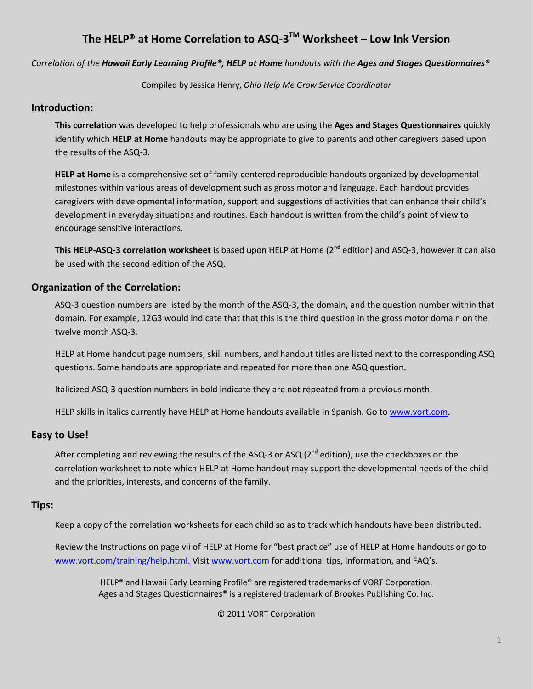#### **The HELP® at Home Correlation to ASQ-3TM Worksheet – Low Ink Version**

*Correlation of the Hawaii Early Learning Profile®, HELP at Home handouts with the Ages and Stages Questionnaires®* 

Compiled by Jessica Henry, *Ohio Help Me Grow Service Coordinator*

#### **Introduction:**

**This correlation** was developed to help professionals who are using the **Ages and Stages Questionnaires** quickly identify which **HELP at Home** handouts may be appropriate to give to parents and other caregivers based upon the results of the ASQ-3.

**HELP at Home** is a comprehensive set of family-centered reproducible handouts organized by developmental milestones within various areas of development such as gross motor and language. Each handout provides caregivers with developmental information, support and suggestions of activities that can enhance their child's development in everyday situations and routines. Each handout is written from the child's point of view to encourage sensitive interactions.

**This HELP-ASQ-3 correlation worksheet** is based upon HELP at Home (2nd edition) and ASQ-3, however it can also be used with the second edition of the ASQ.

#### **Organization of the Correlation:**

ASQ-3 question numbers are listed by the month of the ASQ-3, the domain, and the question number within that domain. For example, 12G3 would indicate that that this is the third question in the gross motor domain on the twelve month ASQ-3.

HELP at Home handout page numbers, skill numbers, and handout titles are listed next to the corresponding ASQ questions. Some handouts are appropriate and repeated for more than one ASQ question.

Italicized ASQ-3 question numbers in bold indicate they are not repeated from a previous month.

HELP skills in italics currently have HELP at Home handouts available in Spanish. Go to [www.vort.com.](http://www.vort.com/)

#### **Easy to Use!**

After completing and reviewing the results of the ASQ-3 or ASQ ( $2^{nd}$  edition), use the checkboxes on the correlation worksheet to note which HELP at Home handout may support the developmental needs of the child and the priorities, interests, and concerns of the family.

#### **Tips:**

Keep a copy of the correlation worksheets for each child so as to track which handouts have been distributed.

Review the Instructions on page vii of HELP at Home for "best practice" use of HELP at Home handouts or go to [www.vort.com/training/help.html.](http://www.vort.com/training/help.html) Visit [www.vort.com](http://www.vort.com/) for additional tips, information, and FAQ's.

HELP® and Hawaii Early Learning Profile® are registered trademarks of VORT Corporation. Ages and Stages Questionnaires® is a registered trademark of Brookes Publishing Co. Inc.

#### © 2011 VORT Corporation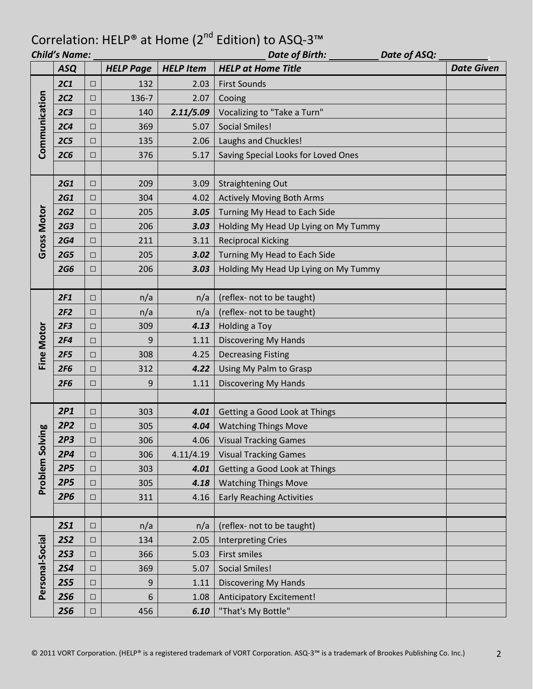| Date of ASQ:<br><b>Child's Name:</b><br>Date of Birth: |                 |        |                  |                  |                                      |                   |
|--------------------------------------------------------|-----------------|--------|------------------|------------------|--------------------------------------|-------------------|
|                                                        | <b>ASQ</b>      |        | <b>HELP Page</b> | <b>HELP Item</b> | <b>HELP at Home Title</b>            | <b>Date Given</b> |
|                                                        | <b>2C1</b>      | $\Box$ | 132              | 2.03             | <b>First Sounds</b>                  |                   |
|                                                        | 2C2             | $\Box$ | 136-7            | 2.07             | Cooing                               |                   |
|                                                        | 2C <sub>3</sub> | $\Box$ | 140              | 2.11/5.09        | Vocalizing to "Take a Turn"          |                   |
| Communication                                          | 2C <sub>4</sub> | $\Box$ | 369              | 5.07             | <b>Social Smiles!</b>                |                   |
|                                                        | <b>2C5</b>      | $\Box$ | 135              | 2.06             | Laughs and Chuckles!                 |                   |
|                                                        | 2C6             | $\Box$ | 376              | 5.17             | Saving Special Looks for Loved Ones  |                   |
|                                                        |                 |        |                  |                  |                                      |                   |
|                                                        | <b>2G1</b>      | $\Box$ | 209              | 3.09             | <b>Straightening Out</b>             |                   |
|                                                        | <b>2G1</b>      | $\Box$ | 304              | 4.02             | <b>Actively Moving Both Arms</b>     |                   |
|                                                        | <b>2G2</b>      | $\Box$ | 205              | 3.05             | Turning My Head to Each Side         |                   |
|                                                        | 2G <sub>3</sub> | $\Box$ | 206              | 3.03             | Holding My Head Up Lying on My Tummy |                   |
| <b>Gross Motor</b>                                     | <b>2G4</b>      | $\Box$ | 211              | 3.11             | <b>Reciprocal Kicking</b>            |                   |
|                                                        | <b>2G5</b>      | $\Box$ | 205              | 3.02             | Turning My Head to Each Side         |                   |
|                                                        | <b>2G6</b>      | $\Box$ | 206              | 3.03             | Holding My Head Up Lying on My Tummy |                   |
|                                                        |                 |        |                  |                  |                                      |                   |
|                                                        | 2F1             | $\Box$ | n/a              | n/a              | (reflex- not to be taught)           |                   |
|                                                        | 2F2             | $\Box$ | n/a              | n/a              | (reflex- not to be taught)           |                   |
|                                                        | 2F <sub>3</sub> | $\Box$ | 309              | 4.13             | Holding a Toy                        |                   |
| Fine Motor                                             | 2F4             | $\Box$ | 9                | 1.11             | <b>Discovering My Hands</b>          |                   |
|                                                        | 2F5             | $\Box$ | 308              | 4.25             | <b>Decreasing Fisting</b>            |                   |
|                                                        | 2F6             | $\Box$ | 312              | 4.22             | Using My Palm to Grasp               |                   |
|                                                        | 2F6             | $\Box$ | 9                | 1.11             | <b>Discovering My Hands</b>          |                   |
|                                                        |                 |        |                  |                  |                                      |                   |
|                                                        | 2P1             | □      | 303              | 4.01             | Getting a Good Look at Things        |                   |
|                                                        | 2P2             | □      | 305              | 4.04             | <b>Watching Things Move</b>          |                   |
|                                                        | 2P <sub>3</sub> | $\Box$ | 306              |                  | 4.06   Visual Tracking Games         |                   |
|                                                        | 2P4             | □      | 306              | 4.11/4.19        | <b>Visual Tracking Games</b>         |                   |
| Problem Solving                                        | 2P5             | $\Box$ | 303              | 4.01             | <b>Getting a Good Look at Things</b> |                   |
|                                                        | 2P5             | $\Box$ | 305              | 4.18             | <b>Watching Things Move</b>          |                   |
|                                                        | 2P6             | $\Box$ | 311              | 4.16             | <b>Early Reaching Activities</b>     |                   |
|                                                        |                 |        |                  |                  |                                      |                   |
|                                                        | <b>2S1</b>      | $\Box$ | n/a              | n/a              | (reflex- not to be taught)           |                   |
|                                                        | <b>2S2</b>      | $\Box$ | 134              | 2.05             | <b>Interpreting Cries</b>            |                   |
| Personal-Social                                        | <b>2S3</b>      | $\Box$ | 366              | 5.03             | First smiles                         |                   |
|                                                        | <b>2S4</b>      | $\Box$ | 369              | 5.07             | <b>Social Smiles!</b>                |                   |
|                                                        | <b>2S5</b>      | $\Box$ | 9                | 1.11             | <b>Discovering My Hands</b>          |                   |
|                                                        | <b>2S6</b>      | $\Box$ | 6                | 1.08             | Anticipatory Excitement!             |                   |
|                                                        | <b>2S6</b>      | $\Box$ | 456              | 6.10             | "That's My Bottle"                   |                   |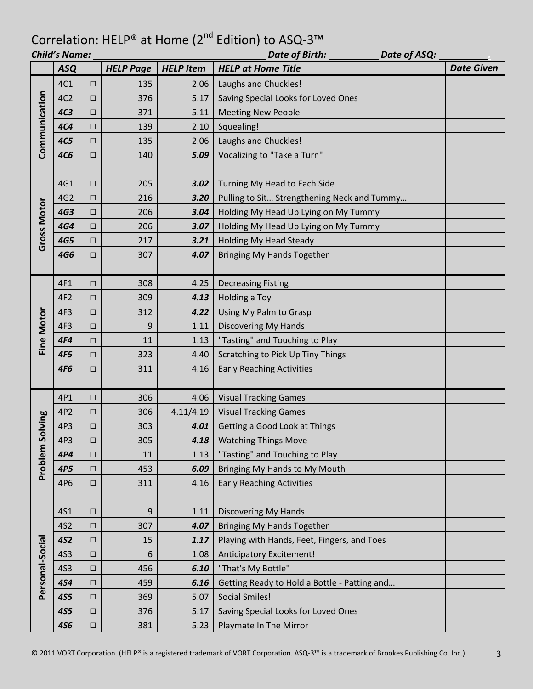| <b>Child's Name:</b><br>Date of Birth:<br>Date of ASQ: |                 |        |                  |                  |                                              |                   |  |
|--------------------------------------------------------|-----------------|--------|------------------|------------------|----------------------------------------------|-------------------|--|
|                                                        | <b>ASQ</b>      |        | <b>HELP Page</b> | <b>HELP Item</b> | <b>HELP at Home Title</b>                    | <b>Date Given</b> |  |
|                                                        | 4C1             | $\Box$ | 135              | 2.06             | Laughs and Chuckles!                         |                   |  |
|                                                        | 4C <sub>2</sub> | □      | 376              | 5.17             | Saving Special Looks for Loved Ones          |                   |  |
|                                                        | 4C <sub>3</sub> | $\Box$ | 371              | 5.11             | <b>Meeting New People</b>                    |                   |  |
| Communication                                          | <b>4C4</b>      | $\Box$ | 139              | 2.10             | Squealing!                                   |                   |  |
|                                                        | <b>4C5</b>      | □      | 135              | 2.06             | Laughs and Chuckles!                         |                   |  |
|                                                        | <b>4C6</b>      | $\Box$ | 140              | 5.09             | Vocalizing to "Take a Turn"                  |                   |  |
|                                                        |                 |        |                  |                  |                                              |                   |  |
|                                                        | 4G1             | $\Box$ | 205              | 3.02             | Turning My Head to Each Side                 |                   |  |
|                                                        | 4G <sub>2</sub> | $\Box$ | 216              | 3.20             | Pulling to Sit Strengthening Neck and Tummy  |                   |  |
|                                                        | <b>4G3</b>      | $\Box$ | 206              | 3.04             | Holding My Head Up Lying on My Tummy         |                   |  |
|                                                        | <b>4G4</b>      | $\Box$ | 206              | 3.07             | Holding My Head Up Lying on My Tummy         |                   |  |
| <b>Gross Motor</b>                                     | <b>4G5</b>      | $\Box$ | 217              | 3.21             | <b>Holding My Head Steady</b>                |                   |  |
|                                                        | <b>4G6</b>      | $\Box$ | 307              | 4.07             | <b>Bringing My Hands Together</b>            |                   |  |
|                                                        |                 |        |                  |                  |                                              |                   |  |
|                                                        | 4F1             | $\Box$ | 308              | 4.25             | <b>Decreasing Fisting</b>                    |                   |  |
|                                                        | 4F <sub>2</sub> | $\Box$ | 309              | 4.13             | Holding a Toy                                |                   |  |
|                                                        | 4F3             | $\Box$ | 312              | 4.22             | Using My Palm to Grasp                       |                   |  |
|                                                        | 4F3             | $\Box$ | 9                | 1.11             | <b>Discovering My Hands</b>                  |                   |  |
| <b>Fine Motor</b>                                      | <b>4F4</b>      | $\Box$ | 11               | 1.13             | "Tasting" and Touching to Play               |                   |  |
|                                                        | 4F5             | $\Box$ | 323              | 4.40             | Scratching to Pick Up Tiny Things            |                   |  |
|                                                        | <b>4F6</b>      | □      | 311              | 4.16             | <b>Early Reaching Activities</b>             |                   |  |
|                                                        |                 |        |                  |                  |                                              |                   |  |
|                                                        | 4P1             | $\Box$ | 306              | 4.06             | <b>Visual Tracking Games</b>                 |                   |  |
|                                                        | 4P2             | $\Box$ | 306              | 4.11/4.19        | <b>Visual Tracking Games</b>                 |                   |  |
| Solving                                                | 4P3             | $\Box$ | 303              | 4.01             | Getting a Good Look at Things                |                   |  |
|                                                        | 4P3             | $\Box$ | 305              | 4.18             | <b>Watching Things Move</b>                  |                   |  |
| Problem                                                | 4P4             | $\Box$ | 11               | 1.13             | "Tasting" and Touching to Play               |                   |  |
|                                                        | 4P5             | $\Box$ | 453              | 6.09             | Bringing My Hands to My Mouth                |                   |  |
|                                                        | 4P6             | $\Box$ | 311              | 4.16             | <b>Early Reaching Activities</b>             |                   |  |
|                                                        |                 |        |                  |                  |                                              |                   |  |
|                                                        | <b>4S1</b>      | $\Box$ | 9                | 1.11             | <b>Discovering My Hands</b>                  |                   |  |
|                                                        | <b>4S2</b>      | $\Box$ | 307              | 4.07             | <b>Bringing My Hands Together</b>            |                   |  |
|                                                        | <b>4S2</b>      | $\Box$ | 15               | 1.17             | Playing with Hands, Feet, Fingers, and Toes  |                   |  |
|                                                        | <b>4S3</b>      | $\Box$ | 6                | 1.08             | Anticipatory Excitement!                     |                   |  |
|                                                        | <b>4S3</b>      | $\Box$ | 456              | 6.10             | "That's My Bottle"                           |                   |  |
| Personal-Social                                        | <b>4S4</b>      | $\Box$ | 459              | 6.16             | Getting Ready to Hold a Bottle - Patting and |                   |  |
|                                                        | <b>4S5</b>      | $\Box$ | 369              | 5.07             | <b>Social Smiles!</b>                        |                   |  |
|                                                        | <b>4S5</b>      | $\Box$ | 376              | 5.17             | Saving Special Looks for Loved Ones          |                   |  |
|                                                        | <b>4S6</b>      | $\Box$ | 381              | 5.23             | Playmate In The Mirror                       |                   |  |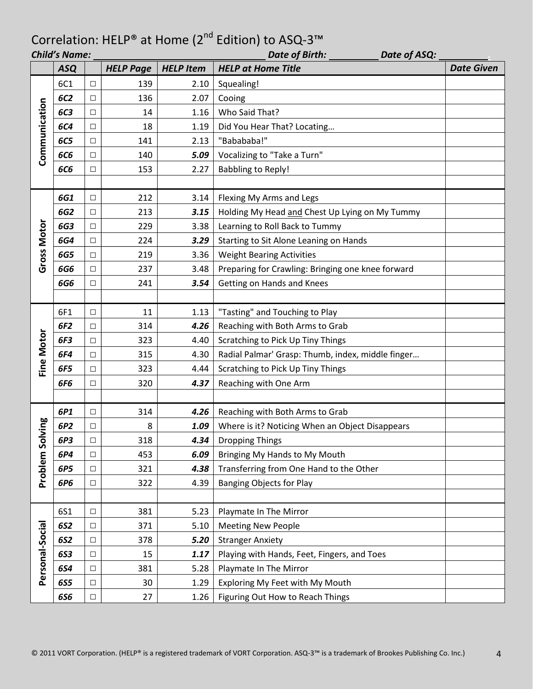| Date of ASQ:<br><b>Child's Name:</b><br>Date of Birth: |                 |        |                  |                  |                                                   |                   |  |
|--------------------------------------------------------|-----------------|--------|------------------|------------------|---------------------------------------------------|-------------------|--|
|                                                        | <b>ASQ</b>      |        | <b>HELP Page</b> | <b>HELP Item</b> | <b>HELP at Home Title</b>                         | <b>Date Given</b> |  |
|                                                        | 6C1             | $\Box$ | 139              | 2.10             | Squealing!                                        |                   |  |
|                                                        | <b>6C2</b>      | □      | 136              | 2.07             | Cooing                                            |                   |  |
|                                                        | <b>6C3</b>      | $\Box$ | 14               | 1.16             | Who Said That?                                    |                   |  |
|                                                        | <b>6C4</b>      | $\Box$ | 18               | 1.19             | Did You Hear That? Locating                       |                   |  |
|                                                        | <b>6C5</b>      | $\Box$ | 141              | 2.13             | "Babababa!"                                       |                   |  |
| Communication                                          | <b>6C6</b>      | $\Box$ | 140              | 5.09             | Vocalizing to "Take a Turn"                       |                   |  |
|                                                        | <b>6C6</b>      | $\Box$ | 153              | 2.27             | <b>Babbling to Reply!</b>                         |                   |  |
|                                                        |                 |        |                  |                  |                                                   |                   |  |
|                                                        | 6G1             | $\Box$ | 212              | 3.14             | Flexing My Arms and Legs                          |                   |  |
|                                                        | 6G2             | □      | 213              | 3.15             | Holding My Head and Chest Up Lying on My Tummy    |                   |  |
|                                                        | <b>6G3</b>      | $\Box$ | 229              | 3.38             | Learning to Roll Back to Tummy                    |                   |  |
|                                                        | <b>6G4</b>      | $\Box$ | 224              | 3.29             | Starting to Sit Alone Leaning on Hands            |                   |  |
| Gross Motor                                            | <b>6G5</b>      | $\Box$ | 219              | 3.36             | <b>Weight Bearing Activities</b>                  |                   |  |
|                                                        | 6G6             | $\Box$ | 237              | 3.48             | Preparing for Crawling: Bringing one knee forward |                   |  |
|                                                        | <b>6G6</b>      | $\Box$ | 241              | 3.54             | Getting on Hands and Knees                        |                   |  |
|                                                        |                 |        |                  |                  |                                                   |                   |  |
|                                                        | 6F1             | $\Box$ | 11               | 1.13             | "Tasting" and Touching to Play                    |                   |  |
|                                                        | 6F <sub>2</sub> | □      | 314              | 4.26             | Reaching with Both Arms to Grab                   |                   |  |
|                                                        | 6F3             | $\Box$ | 323              | 4.40             | Scratching to Pick Up Tiny Things                 |                   |  |
| Fine Motor                                             | 6F4             | $\Box$ | 315              | 4.30             | Radial Palmar' Grasp: Thumb, index, middle finger |                   |  |
|                                                        | 6F5             | $\Box$ | 323              | 4.44             | Scratching to Pick Up Tiny Things                 |                   |  |
|                                                        | 6F6             | $\Box$ | 320              | 4.37             | Reaching with One Arm                             |                   |  |
|                                                        |                 |        |                  |                  |                                                   |                   |  |
|                                                        | 6P1             | $\Box$ | 314              | 4.26             | Reaching with Both Arms to Grab                   |                   |  |
|                                                        | 6P <sub>2</sub> | $\Box$ | 8                | 1.09             | Where is it? Noticing When an Object Disappears   |                   |  |
|                                                        | 6P3             | $\Box$ | 318              | 4.34             | <b>Dropping Things</b>                            |                   |  |
| Problem Solving                                        | 6P4             | $\Box$ | 453              | 6.09             | Bringing My Hands to My Mouth                     |                   |  |
|                                                        | 6P5             | $\Box$ | 321              | 4.38             | Transferring from One Hand to the Other           |                   |  |
|                                                        | 6P6             | $\Box$ | 322              | 4.39             | <b>Banging Objects for Play</b>                   |                   |  |
|                                                        |                 |        |                  |                  |                                                   |                   |  |
|                                                        | 6S1             | $\Box$ | 381              | 5.23             | Playmate In The Mirror                            |                   |  |
|                                                        | 6S2             | $\Box$ | 371              | 5.10             | <b>Meeting New People</b>                         |                   |  |
| Personal-Social                                        | <b>6S2</b>      | $\Box$ | 378              | 5.20             | <b>Stranger Anxiety</b>                           |                   |  |
|                                                        | <b>6S3</b>      | $\Box$ | 15               | 1.17             | Playing with Hands, Feet, Fingers, and Toes       |                   |  |
|                                                        | 6S4             | $\Box$ | 381              | 5.28             | Playmate In The Mirror                            |                   |  |
|                                                        | <b>6S5</b>      | $\Box$ | 30               | 1.29             | Exploring My Feet with My Mouth                   |                   |  |
|                                                        | <b>6S6</b>      | $\Box$ | 27               | 1.26             | Figuring Out How to Reach Things                  |                   |  |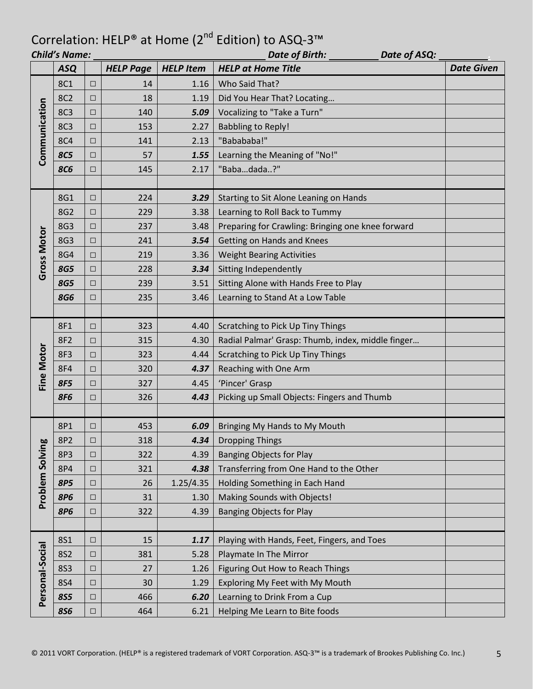| <b>Child's Name:</b><br>Date of Birth:<br>Date of ASQ: |            |        |                  |                  |                                                   |                   |
|--------------------------------------------------------|------------|--------|------------------|------------------|---------------------------------------------------|-------------------|
|                                                        | <b>ASQ</b> |        | <b>HELP Page</b> | <b>HELP Item</b> | <b>HELP at Home Title</b>                         | <b>Date Given</b> |
|                                                        | <b>8C1</b> | $\Box$ | 14               | 1.16             | Who Said That?                                    |                   |
|                                                        | <b>8C2</b> | □      | 18               | 1.19             | Did You Hear That? Locating                       |                   |
|                                                        | <b>8C3</b> | $\Box$ | 140              | 5.09             | Vocalizing to "Take a Turn"                       |                   |
| Communication                                          | <b>8C3</b> | $\Box$ | 153              | 2.27             | <b>Babbling to Reply!</b>                         |                   |
|                                                        | <b>8C4</b> | $\Box$ | 141              | 2.13             | "Babababa!"                                       |                   |
|                                                        | <b>8C5</b> | $\Box$ | 57               | 1.55             | Learning the Meaning of "No!"                     |                   |
|                                                        | <b>8C6</b> | $\Box$ | 145              | 2.17             | "Babadada?"                                       |                   |
|                                                        |            |        |                  |                  |                                                   |                   |
|                                                        | 8G1        | $\Box$ | 224              | 3.29             | Starting to Sit Alone Leaning on Hands            |                   |
|                                                        | 8G2        | $\Box$ | 229              | 3.38             | Learning to Roll Back to Tummy                    |                   |
|                                                        | <b>8G3</b> | $\Box$ | 237              | 3.48             | Preparing for Crawling: Bringing one knee forward |                   |
|                                                        | 8G3        | $\Box$ | 241              | 3.54             | Getting on Hands and Knees                        |                   |
| Gross Motor                                            | <b>8G4</b> | $\Box$ | 219              | 3.36             | <b>Weight Bearing Activities</b>                  |                   |
|                                                        | <b>8G5</b> | $\Box$ | 228              | 3.34             | Sitting Independently                             |                   |
|                                                        | <b>8G5</b> | $\Box$ | 239              | 3.51             | Sitting Alone with Hands Free to Play             |                   |
|                                                        | <b>8G6</b> | $\Box$ | 235              | 3.46             | Learning to Stand At a Low Table                  |                   |
|                                                        |            |        |                  |                  |                                                   |                   |
|                                                        | 8F1        | □      | 323              | 4.40             | Scratching to Pick Up Tiny Things                 |                   |
|                                                        | <b>8F2</b> | $\Box$ | 315              | 4.30             | Radial Palmar' Grasp: Thumb, index, middle finger |                   |
|                                                        | <b>8F3</b> | $\Box$ | 323              | 4.44             | Scratching to Pick Up Tiny Things                 |                   |
| <b>Fine Motor</b>                                      | <b>8F4</b> | $\Box$ | 320              | 4.37             | Reaching with One Arm                             |                   |
|                                                        | <b>8F5</b> | $\Box$ | 327              | 4.45             | 'Pincer' Grasp                                    |                   |
|                                                        | <b>8F6</b> | $\Box$ | 326              | 4.43             | Picking up Small Objects: Fingers and Thumb       |                   |
|                                                        |            |        |                  |                  |                                                   |                   |
|                                                        | 8P1        | $\Box$ | 453              | 6.09             | Bringing My Hands to My Mouth                     |                   |
|                                                        | 8P2        | $\Box$ | 318              | 4.34             | <b>Dropping Things</b>                            |                   |
| Problem Solving                                        | 8P3        | $\Box$ | 322              | 4.39             | <b>Banging Objects for Play</b>                   |                   |
|                                                        | 8P4        | $\Box$ | 321              | 4.38             | Transferring from One Hand to the Other           |                   |
|                                                        | <b>8P5</b> | $\Box$ | 26               | 1.25/4.35        | Holding Something in Each Hand                    |                   |
|                                                        | <b>8P6</b> | $\Box$ | 31               | 1.30             | Making Sounds with Objects!                       |                   |
|                                                        | <b>8P6</b> | $\Box$ | 322              | 4.39             | <b>Banging Objects for Play</b>                   |                   |
|                                                        |            |        |                  |                  |                                                   |                   |
|                                                        | <b>8S1</b> | $\Box$ | 15               | 1.17             | Playing with Hands, Feet, Fingers, and Toes       |                   |
|                                                        | <b>8S2</b> | $\Box$ | 381              | 5.28             | Playmate In The Mirror                            |                   |
|                                                        | <b>8S3</b> | $\Box$ | 27               | 1.26             | Figuring Out How to Reach Things                  |                   |
|                                                        | <b>8S4</b> | $\Box$ | 30               | 1.29             | Exploring My Feet with My Mouth                   |                   |
| Personal-Social                                        | <b>8S5</b> | $\Box$ | 466              | 6.20             | Learning to Drink From a Cup                      |                   |
|                                                        | <b>8S6</b> | $\Box$ | 464              | 6.21             | Helping Me Learn to Bite foods                    |                   |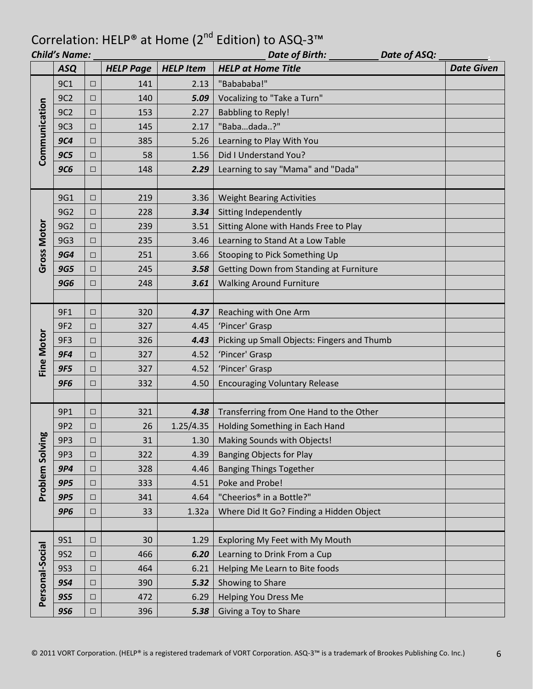|                    | <b>Child's Name:</b> |        |                  |                  | Date of Birth: _________<br>Date of ASQ:    |                   |  |
|--------------------|----------------------|--------|------------------|------------------|---------------------------------------------|-------------------|--|
|                    | <b>ASQ</b>           |        | <b>HELP Page</b> | <b>HELP Item</b> | <b>HELP at Home Title</b>                   | <b>Date Given</b> |  |
|                    | 9C1                  | $\Box$ | 141              | 2.13             | "Babababa!"                                 |                   |  |
|                    | 9C2                  | □      | 140              | 5.09             | Vocalizing to "Take a Turn"                 |                   |  |
|                    | 9C <sub>2</sub>      | $\Box$ | 153              | 2.27             | <b>Babbling to Reply!</b>                   |                   |  |
| Communication      | 9C3                  | □      | 145              | 2.17             | "Babadada?"                                 |                   |  |
|                    | <b>9C4</b>           | $\Box$ | 385              | 5.26             | Learning to Play With You                   |                   |  |
|                    | <b>9C5</b>           | □      | 58               | 1.56             | Did I Understand You?                       |                   |  |
|                    | <b>9C6</b>           | □      | 148              | 2.29             | Learning to say "Mama" and "Dada"           |                   |  |
|                    |                      |        |                  |                  |                                             |                   |  |
|                    | 9G1                  | □      | 219              | 3.36             | <b>Weight Bearing Activities</b>            |                   |  |
|                    | 9G2                  | □      | 228              | 3.34             | Sitting Independently                       |                   |  |
|                    | 9G2                  | □      | 239              | 3.51             | Sitting Alone with Hands Free to Play       |                   |  |
|                    | 9G3                  | $\Box$ | 235              | 3.46             | Learning to Stand At a Low Table            |                   |  |
| <b>Gross Motor</b> | <b>9G4</b>           | □      | 251              | 3.66             | Stooping to Pick Something Up               |                   |  |
|                    | <b>9G5</b>           | $\Box$ | 245              | 3.58             | Getting Down from Standing at Furniture     |                   |  |
|                    | <b>9G6</b>           | □      | 248              | 3.61             | <b>Walking Around Furniture</b>             |                   |  |
|                    |                      |        |                  |                  |                                             |                   |  |
|                    | 9F1                  | □      | 320              | 4.37             | Reaching with One Arm                       |                   |  |
|                    | 9F <sub>2</sub>      | □      | 327              | 4.45             | 'Pincer' Grasp                              |                   |  |
|                    | 9F3                  | $\Box$ | 326              | 4.43             | Picking up Small Objects: Fingers and Thumb |                   |  |
| <b>Fine Motor</b>  | <b>9F4</b>           | □      | 327              | 4.52             | 'Pincer' Grasp                              |                   |  |
|                    | <b>9F5</b>           | □      | 327              | 4.52             | 'Pincer' Grasp                              |                   |  |
|                    | <b>9F6</b>           | ⊔      | 332              | 4.50             | <b>Encouraging Voluntary Release</b>        |                   |  |
|                    |                      |        |                  |                  |                                             |                   |  |
|                    | 9P1                  | □      | 321              | 4.38             | Transferring from One Hand to the Other     |                   |  |
|                    | 9P <sub>2</sub>      | $\Box$ | 26               | 1.25/4.35        | Holding Something in Each Hand              |                   |  |
| ă                  | 9P3                  | $\Box$ | 31               | 1.30             | Making Sounds with Objects!                 |                   |  |
| Problem Solvin     | 9P3                  | □      | 322              | 4.39             | <b>Banging Objects for Play</b>             |                   |  |
|                    | 9P4                  | $\Box$ | 328              | 4.46             | <b>Banging Things Together</b>              |                   |  |
|                    | <b>9P5</b>           | □      | 333              | 4.51             | Poke and Probe!                             |                   |  |
|                    | <b>9P5</b>           | $\Box$ | 341              | 4.64             | "Cheerios <sup>®</sup> in a Bottle?"        |                   |  |
|                    | <b>9P6</b>           | □      | 33               | 1.32a            | Where Did It Go? Finding a Hidden Object    |                   |  |
|                    |                      |        |                  |                  |                                             |                   |  |
|                    | <b>9S1</b>           | $\Box$ | 30               | 1.29             | Exploring My Feet with My Mouth             |                   |  |
|                    | <b>9S2</b>           | $\Box$ | 466              | 6.20             | Learning to Drink From a Cup                |                   |  |
|                    | <b>9S3</b>           | $\Box$ | 464              | 6.21             | Helping Me Learn to Bite foods              |                   |  |
|                    | <b>9S4</b>           | $\Box$ | 390              | 5.32             | Showing to Share                            |                   |  |
| Personal-Social    | <b>9S5</b>           | □      | 472              | 6.29             | <b>Helping You Dress Me</b>                 |                   |  |
|                    | <b>9S6</b>           | $\Box$ | 396              | 5.38             | Giving a Toy to Share                       |                   |  |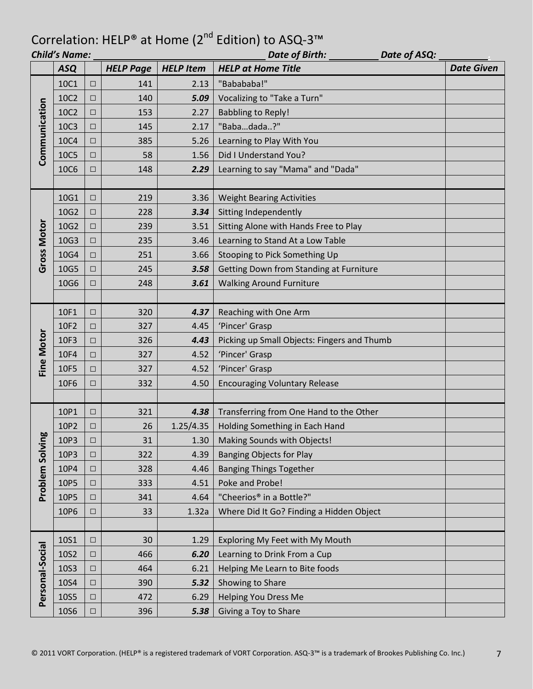|                    | <b>Child's Name:</b> |        |                  |                  | Date of Birth: _____<br>Date of ASQ:        |                   |  |
|--------------------|----------------------|--------|------------------|------------------|---------------------------------------------|-------------------|--|
|                    | <b>ASQ</b>           |        | <b>HELP Page</b> | <b>HELP Item</b> | <b>HELP at Home Title</b>                   | <b>Date Given</b> |  |
|                    | 10C1                 | $\Box$ | 141              | 2.13             | "Babababa!"                                 |                   |  |
|                    | 10C2                 | $\Box$ | 140              | 5.09             | Vocalizing to "Take a Turn"                 |                   |  |
| Communication      | 10C2                 | $\Box$ | 153              | 2.27             | <b>Babbling to Reply!</b>                   |                   |  |
|                    | 10C3                 | $\Box$ | 145              | 2.17             | "Babadada?"                                 |                   |  |
|                    | 10C4                 | $\Box$ | 385              | 5.26             | Learning to Play With You                   |                   |  |
|                    | 10C5                 | $\Box$ | 58               | 1.56             | Did I Understand You?                       |                   |  |
|                    | <b>10C6</b>          | □      | 148              | 2.29             | Learning to say "Mama" and "Dada"           |                   |  |
|                    |                      |        |                  |                  |                                             |                   |  |
|                    | 10G1                 | $\Box$ | 219              | 3.36             | <b>Weight Bearing Activities</b>            |                   |  |
|                    | 10G2                 | $\Box$ | 228              | 3.34             | Sitting Independently                       |                   |  |
|                    | 10G2                 | $\Box$ | 239              | 3.51             | Sitting Alone with Hands Free to Play       |                   |  |
|                    | 10G3                 | $\Box$ | 235              | 3.46             | Learning to Stand At a Low Table            |                   |  |
| <b>Gross Motor</b> | 10G4                 | $\Box$ | 251              | 3.66             | Stooping to Pick Something Up               |                   |  |
|                    | 10G5                 | $\Box$ | 245              | 3.58             | Getting Down from Standing at Furniture     |                   |  |
|                    | 10G6                 | □      | 248              | 3.61             | <b>Walking Around Furniture</b>             |                   |  |
|                    |                      |        |                  |                  |                                             |                   |  |
|                    | 10F1                 | $\Box$ | 320              | 4.37             | Reaching with One Arm                       |                   |  |
|                    | 10F2                 | □      | 327              | 4.45             | 'Pincer' Grasp                              |                   |  |
|                    | 10F3                 | $\Box$ | 326              | 4.43             | Picking up Small Objects: Fingers and Thumb |                   |  |
| Fine Motor         | 10F4                 | $\Box$ | 327              | 4.52             | 'Pincer' Grasp                              |                   |  |
|                    | 10F5                 | $\Box$ | 327              | 4.52             | 'Pincer' Grasp                              |                   |  |
|                    | 10F6                 | □      | 332              | 4.50             | <b>Encouraging Voluntary Release</b>        |                   |  |
|                    |                      |        |                  |                  |                                             |                   |  |
|                    | 10P1                 | $\Box$ | 321              | 4.38             | Transferring from One Hand to the Other     |                   |  |
|                    | 10P2                 | $\Box$ | 26               | 1.25/4.35        | Holding Something in Each Hand              |                   |  |
| ă                  | 10P3                 | $\Box$ | 31               | 1.30             | Making Sounds with Objects!                 |                   |  |
| Problem Solvin     | 10P3                 | $\Box$ | 322              | 4.39             | <b>Banging Objects for Play</b>             |                   |  |
|                    | 10P4                 | $\Box$ | 328              | 4.46             | <b>Banging Things Together</b>              |                   |  |
|                    | 10P5                 | $\Box$ | 333              | 4.51             | Poke and Probe!                             |                   |  |
|                    | 10P5                 | $\Box$ | 341              | 4.64             | "Cheerios <sup>®</sup> in a Bottle?"        |                   |  |
|                    | 10P6                 | $\Box$ | 33               | 1.32a            | Where Did It Go? Finding a Hidden Object    |                   |  |
|                    |                      |        |                  |                  |                                             |                   |  |
|                    | 10S1                 | $\Box$ | 30               | 1.29             | Exploring My Feet with My Mouth             |                   |  |
|                    | 10S2                 | $\Box$ | 466              | 6.20             | Learning to Drink From a Cup                |                   |  |
|                    | 10S3                 | $\Box$ | 464              | 6.21             | Helping Me Learn to Bite foods              |                   |  |
|                    | 10S4                 | $\Box$ | 390              | 5.32             | Showing to Share                            |                   |  |
| Personal-Social    | 10S5                 | $\Box$ | 472              | 6.29             | <b>Helping You Dress Me</b>                 |                   |  |
|                    | 10S6                 | $\Box$ | 396              | 5.38             | Giving a Toy to Share                       |                   |  |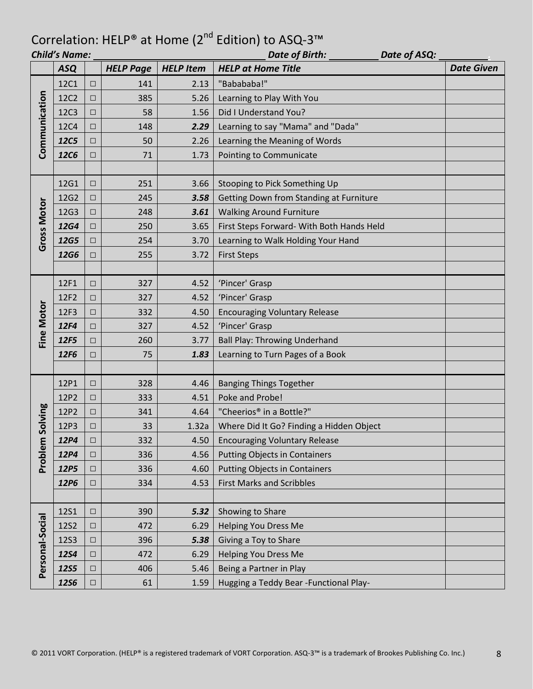|                   | <b>Child's Name:</b> |        |                  |                  | Date of Birth:<br>Date of ASQ:            |                   |  |
|-------------------|----------------------|--------|------------------|------------------|-------------------------------------------|-------------------|--|
|                   | <b>ASQ</b>           |        | <b>HELP Page</b> | <b>HELP Item</b> | <b>HELP at Home Title</b>                 | <b>Date Given</b> |  |
|                   | 12C1                 | $\Box$ | 141              | 2.13             | "Babababa!"                               |                   |  |
|                   | 12C2                 | $\Box$ | 385              | 5.26             | Learning to Play With You                 |                   |  |
|                   | 12C3                 | $\Box$ | 58               | 1.56             | Did I Understand You?                     |                   |  |
|                   | 12C4                 | $\Box$ | 148              | 2.29             | Learning to say "Mama" and "Dada"         |                   |  |
| Communication     | <b>12C5</b>          | $\Box$ | 50               | 2.26             | Learning the Meaning of Words             |                   |  |
|                   | <b>12C6</b>          | $\Box$ | 71               | 1.73             | Pointing to Communicate                   |                   |  |
|                   |                      |        |                  |                  |                                           |                   |  |
|                   | 12G1                 | $\Box$ | 251              | 3.66             | Stooping to Pick Something Up             |                   |  |
|                   | 12G2                 | $\Box$ | 245              | 3.58             | Getting Down from Standing at Furniture   |                   |  |
|                   | 12G3                 | $\Box$ | 248              | 3.61             | <b>Walking Around Furniture</b>           |                   |  |
|                   | <b>12G4</b>          | $\Box$ | 250              | 3.65             | First Steps Forward- With Both Hands Held |                   |  |
| Gross Motor       | 12G5                 | $\Box$ | 254              | 3.70             | Learning to Walk Holding Your Hand        |                   |  |
|                   | <b>12G6</b>          | $\Box$ | 255              | 3.72             | <b>First Steps</b>                        |                   |  |
|                   |                      |        |                  |                  |                                           |                   |  |
|                   | 12F1                 | $\Box$ | 327              | 4.52             | 'Pincer' Grasp                            |                   |  |
|                   | 12F2                 | $\Box$ | 327              | 4.52             | 'Pincer' Grasp                            |                   |  |
|                   | 12F3                 | $\Box$ | 332              | 4.50             | <b>Encouraging Voluntary Release</b>      |                   |  |
| <b>Fine Motor</b> | 12F4                 | □      | 327              | 4.52             | 'Pincer' Grasp                            |                   |  |
|                   | 12F5                 | $\Box$ | 260              | 3.77             | <b>Ball Play: Throwing Underhand</b>      |                   |  |
|                   | 12F6                 | □      | 75               | 1.83             | Learning to Turn Pages of a Book          |                   |  |
|                   |                      |        |                  |                  |                                           |                   |  |
|                   | 12P1                 | $\Box$ | 328              | 4.46             | <b>Banging Things Together</b>            |                   |  |
|                   | 12P2                 | $\Box$ | 333              | 4.51             | Poke and Probe!                           |                   |  |
|                   | 12P2                 | $\Box$ | 341              | 4.64             | "Cheerios® in a Bottle?"                  |                   |  |
| Solving           | 12P3                 | $\Box$ | 33               | 1.32a            | Where Did It Go? Finding a Hidden Object  |                   |  |
|                   | 12P4                 | $\Box$ | 332              | 4.50             | <b>Encouraging Voluntary Release</b>      |                   |  |
| Problem           | 12P4                 | $\Box$ | 336              | 4.56             | <b>Putting Objects in Containers</b>      |                   |  |
|                   | 12P5                 | $\Box$ | 336              | 4.60             | <b>Putting Objects in Containers</b>      |                   |  |
|                   | 12P6                 | $\Box$ | 334              | 4.53             | <b>First Marks and Scribbles</b>          |                   |  |
|                   |                      |        |                  |                  |                                           |                   |  |
|                   | <b>12S1</b>          | $\Box$ | 390              | 5.32             | Showing to Share                          |                   |  |
|                   | <b>12S2</b>          | $\Box$ | 472              | 6.29             | <b>Helping You Dress Me</b>               |                   |  |
|                   | <b>12S3</b>          | $\Box$ | 396              | 5.38             | Giving a Toy to Share                     |                   |  |
|                   | <b>12S4</b>          | $\Box$ | 472              | 6.29             | <b>Helping You Dress Me</b>               |                   |  |
| Personal-Social   | <b>12S5</b>          | $\Box$ | 406              | 5.46             | Being a Partner in Play                   |                   |  |
|                   | <b>12S6</b>          | $\Box$ | 61               | 1.59             | Hugging a Teddy Bear - Functional Play-   |                   |  |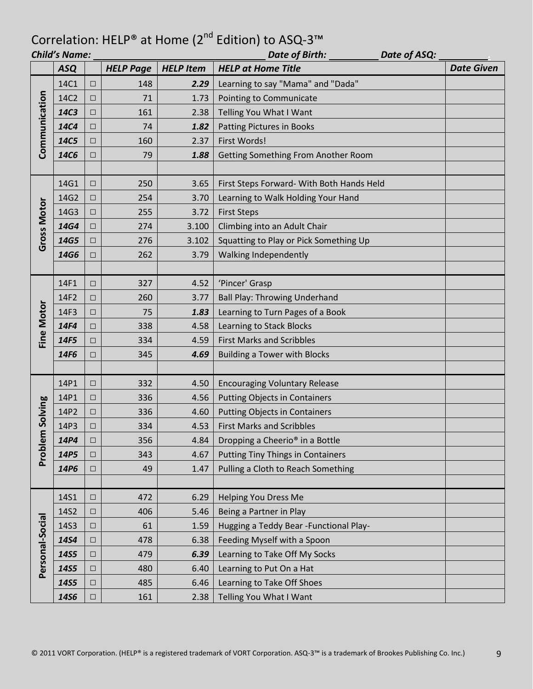|                    | <b>Child's Name:</b> |        | Date of Birth:<br>Date of ASQ: |                  |                                             |                   |
|--------------------|----------------------|--------|--------------------------------|------------------|---------------------------------------------|-------------------|
|                    | <b>ASQ</b>           |        | <b>HELP Page</b>               | <b>HELP Item</b> | <b>HELP at Home Title</b>                   | <b>Date Given</b> |
|                    | 14C1                 | $\Box$ | 148                            | 2.29             | Learning to say "Mama" and "Dada"           |                   |
|                    | 14C2                 | $\Box$ | 71                             | 1.73             | Pointing to Communicate                     |                   |
|                    | 14C3                 | □      | 161                            | 2.38             | Telling You What I Want                     |                   |
| Communication      | <b>14C4</b>          | $\Box$ | 74                             | 1.82             | Patting Pictures in Books                   |                   |
|                    | 14C5                 | □      | 160                            | 2.37             | First Words!                                |                   |
|                    | <b>14C6</b>          | $\Box$ | 79                             | 1.88             | Getting Something From Another Room         |                   |
|                    |                      |        |                                |                  |                                             |                   |
|                    | 14G1                 | $\Box$ | 250                            | 3.65             | First Steps Forward- With Both Hands Held   |                   |
|                    | 14G2                 | $\Box$ | 254                            | 3.70             | Learning to Walk Holding Your Hand          |                   |
|                    | 14G3                 | $\Box$ | 255                            | 3.72             | <b>First Steps</b>                          |                   |
|                    | 14G4                 | $\Box$ | 274                            | 3.100            | Climbing into an Adult Chair                |                   |
| <b>Gross Motor</b> | 14G5                 | $\Box$ | 276                            | 3.102            | Squatting to Play or Pick Something Up      |                   |
|                    | 14G6                 | □      | 262                            | 3.79             | Walking Independently                       |                   |
|                    |                      |        |                                |                  |                                             |                   |
|                    | 14F1                 | $\Box$ | 327                            | 4.52             | 'Pincer' Grasp                              |                   |
|                    | 14F2                 | □      | 260                            | 3.77             | <b>Ball Play: Throwing Underhand</b>        |                   |
|                    | 14F3                 | $\Box$ | 75                             | 1.83             | Learning to Turn Pages of a Book            |                   |
| Fine Motor         | 14F4                 | □      | 338                            | 4.58             | Learning to Stack Blocks                    |                   |
|                    | 14F5                 | $\Box$ | 334                            | 4.59             | <b>First Marks and Scribbles</b>            |                   |
|                    | 14F6                 | □      | 345                            | 4.69             | <b>Building a Tower with Blocks</b>         |                   |
|                    |                      |        |                                |                  |                                             |                   |
|                    | 14P1                 | $\Box$ | 332                            | 4.50             | <b>Encouraging Voluntary Release</b>        |                   |
|                    | 14P1                 | $\Box$ | 336                            | 4.56             | <b>Putting Objects in Containers</b>        |                   |
| Solving            | 14P2                 | □      | 336                            | 4.60             | <b>Putting Objects in Containers</b>        |                   |
|                    | 14P3                 | □      | 334                            | 4.53             | <b>First Marks and Scribbles</b>            |                   |
| Ë                  | 14P4                 | $\Box$ | 356                            | 4.84             | Dropping a Cheerio <sup>®</sup> in a Bottle |                   |
| Proble             | 14P5                 | $\Box$ | 343                            | 4.67             | <b>Putting Tiny Things in Containers</b>    |                   |
|                    | 14P6                 | $\Box$ | 49                             | 1.47             | Pulling a Cloth to Reach Something          |                   |
|                    |                      |        |                                |                  |                                             |                   |
|                    | 14S1                 | $\Box$ | 472                            | 6.29             | <b>Helping You Dress Me</b>                 |                   |
|                    | 14S2                 | $\Box$ | 406                            | 5.46             | Being a Partner in Play                     |                   |
|                    | 14S3                 | $\Box$ | 61                             | 1.59             | Hugging a Teddy Bear - Functional Play-     |                   |
|                    | 14S4                 | $\Box$ | 478                            | 6.38             | Feeding Myself with a Spoon                 |                   |
| Personal-Social    | 14S5                 | $\Box$ | 479                            | 6.39             | Learning to Take Off My Socks               |                   |
|                    | <b>14S5</b>          | $\Box$ | 480                            | 6.40             | Learning to Put On a Hat                    |                   |
|                    | <b>14S5</b>          | $\Box$ | 485                            | 6.46             | Learning to Take Off Shoes                  |                   |
|                    | <b>14S6</b>          | $\Box$ | 161                            | 2.38             | Telling You What I Want                     |                   |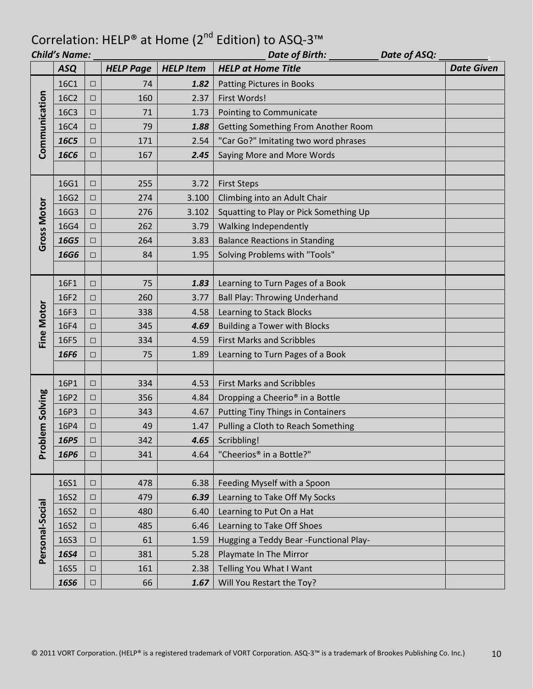|                    | <b>Child's Name:</b> |        |                  |                  | Date of ASQ:<br>Date of Birth:              |                   |
|--------------------|----------------------|--------|------------------|------------------|---------------------------------------------|-------------------|
|                    | <b>ASQ</b>           |        | <b>HELP Page</b> | <b>HELP Item</b> | <b>HELP at Home Title</b>                   | <b>Date Given</b> |
|                    | 16C1                 | $\Box$ | 74               | 1.82             | Patting Pictures in Books                   |                   |
|                    | 16C2                 | $\Box$ | 160              | 2.37             | First Words!                                |                   |
|                    | 16C3                 | $\Box$ | 71               | 1.73             | Pointing to Communicate                     |                   |
| Communication      | 16C4                 | $\Box$ | 79               | 1.88             | Getting Something From Another Room         |                   |
|                    | <b>16C5</b>          | $\Box$ | 171              | 2.54             | "Car Go?" Imitating two word phrases        |                   |
|                    | <b>16C6</b>          | $\Box$ | 167              | 2.45             | Saying More and More Words                  |                   |
|                    |                      |        |                  |                  |                                             |                   |
|                    | 16G1                 | $\Box$ | 255              | 3.72             | <b>First Steps</b>                          |                   |
|                    | 16G2                 | $\Box$ | 274              | 3.100            | Climbing into an Adult Chair                |                   |
|                    | 16G3                 | $\Box$ | 276              | 3.102            | Squatting to Play or Pick Something Up      |                   |
| <b>Gross Motor</b> | 16G4                 | $\Box$ | 262              | 3.79             | Walking Independently                       |                   |
|                    | 16G5                 | $\Box$ | 264              | 3.83             | <b>Balance Reactions in Standing</b>        |                   |
|                    | 16G6                 | $\Box$ | 84               | 1.95             | Solving Problems with "Tools"               |                   |
|                    |                      |        |                  |                  |                                             |                   |
|                    | 16F1                 | $\Box$ | 75               | 1.83             | Learning to Turn Pages of a Book            |                   |
|                    | 16F2                 | $\Box$ | 260              | 3.77             | <b>Ball Play: Throwing Underhand</b>        |                   |
|                    | 16F3                 | $\Box$ | 338              | 4.58             | Learning to Stack Blocks                    |                   |
| <b>Fine Motor</b>  | 16F4                 | □      | 345              | 4.69             | <b>Building a Tower with Blocks</b>         |                   |
|                    | 16F5                 | $\Box$ | 334              | 4.59             | <b>First Marks and Scribbles</b>            |                   |
|                    | 16F6                 | □      | 75               | 1.89             | Learning to Turn Pages of a Book            |                   |
|                    |                      |        |                  |                  |                                             |                   |
|                    | 16P1                 | $\Box$ | 334              | 4.53             | <b>First Marks and Scribbles</b>            |                   |
|                    | 16P2                 | $\Box$ | 356              | 4.84             | Dropping a Cheerio <sup>®</sup> in a Bottle |                   |
| lem Solving        | 16P3                 | $\Box$ | 343              | 4.67             | <b>Putting Tiny Things in Containers</b>    |                   |
|                    | 16P4                 | □      | 49               | 1.47             | Pulling a Cloth to Reach Something          |                   |
|                    | 16P5                 | $\Box$ | 342              | 4.65             | Scribbling!                                 |                   |
| Prob               | 16P6                 | $\Box$ | 341              | 4.64             | "Cheerios® in a Bottle?"                    |                   |
|                    |                      |        |                  |                  |                                             |                   |
|                    | <b>16S1</b>          | $\Box$ | 478              | 6.38             | Feeding Myself with a Spoon                 |                   |
|                    | 16S2                 | $\Box$ | 479              | 6.39             | Learning to Take Off My Socks               |                   |
|                    | 16S2                 | $\Box$ | 480              | 6.40             | Learning to Put On a Hat                    |                   |
|                    | 16S2                 | $\Box$ | 485              | 6.46             | Learning to Take Off Shoes                  |                   |
|                    | 16S3                 | $\Box$ | 61               | 1.59             | Hugging a Teddy Bear - Functional Play-     |                   |
| Personal-Social    | 16S4                 | $\Box$ | 381              | 5.28             | Playmate In The Mirror                      |                   |
|                    | 16S5                 | $\Box$ | 161              | 2.38             | Telling You What I Want                     |                   |
|                    | <b>16S6</b>          | $\Box$ | 66               | 1.67             | Will You Restart the Toy?                   |                   |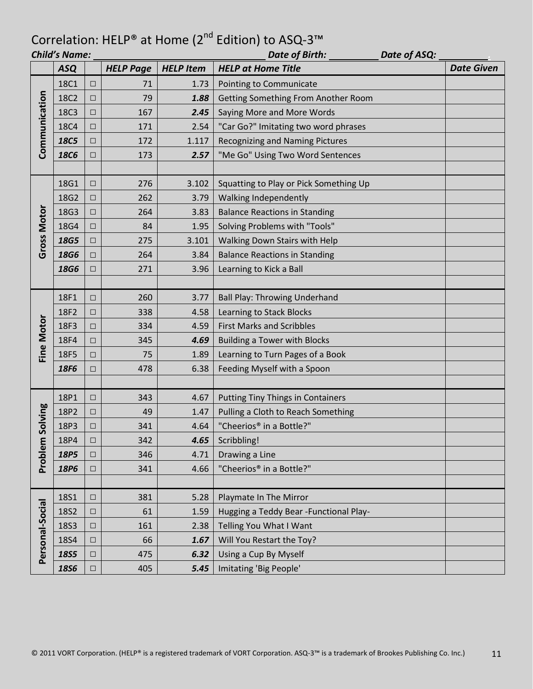|                    | <b>Child's Name:</b> |        |                  |                  | Date of ASQ:<br>Date of Birth:          |  |                   |
|--------------------|----------------------|--------|------------------|------------------|-----------------------------------------|--|-------------------|
|                    | <b>ASQ</b>           |        | <b>HELP Page</b> | <b>HELP Item</b> | <b>HELP at Home Title</b>               |  | <b>Date Given</b> |
|                    | 18C1                 | $\Box$ | 71               | 1.73             | Pointing to Communicate                 |  |                   |
|                    | 18C2                 | $\Box$ | 79               | 1.88             | Getting Something From Another Room     |  |                   |
| Communication      | 18C3                 | $\Box$ | 167              | 2.45             | Saying More and More Words              |  |                   |
|                    | <b>18C4</b>          | $\Box$ | 171              | 2.54             | "Car Go?" Imitating two word phrases    |  |                   |
|                    | <b>18C5</b>          | □      | 172              | 1.117            | <b>Recognizing and Naming Pictures</b>  |  |                   |
|                    | <b>18C6</b>          | $\Box$ | 173              | 2.57             | "Me Go" Using Two Word Sentences        |  |                   |
|                    |                      |        |                  |                  |                                         |  |                   |
|                    | 18G1                 | $\Box$ | 276              | 3.102            | Squatting to Play or Pick Something Up  |  |                   |
|                    | 18G2                 | $\Box$ | 262              | 3.79             | Walking Independently                   |  |                   |
|                    | 18G3                 | $\Box$ | 264              | 3.83             | <b>Balance Reactions in Standing</b>    |  |                   |
|                    | 18G4                 | $\Box$ | 84               | 1.95             | Solving Problems with "Tools"           |  |                   |
| <b>Gross Motor</b> | 18G5                 | $\Box$ | 275              | 3.101            | Walking Down Stairs with Help           |  |                   |
|                    | <b>18G6</b>          | $\Box$ | 264              | 3.84             | <b>Balance Reactions in Standing</b>    |  |                   |
|                    | <b>18G6</b>          | □      | 271              | 3.96             | Learning to Kick a Ball                 |  |                   |
|                    |                      |        |                  |                  |                                         |  |                   |
|                    | 18F1                 | $\Box$ | 260              | 3.77             | <b>Ball Play: Throwing Underhand</b>    |  |                   |
|                    | 18F2                 | $\Box$ | 338              | 4.58             | Learning to Stack Blocks                |  |                   |
|                    | 18F3                 | $\Box$ | 334              | 4.59             | <b>First Marks and Scribbles</b>        |  |                   |
| <b>Fine Motor</b>  | <b>18F4</b>          | $\Box$ | 345              | 4.69             | <b>Building a Tower with Blocks</b>     |  |                   |
|                    | 18F5                 | $\Box$ | 75               | 1.89             | Learning to Turn Pages of a Book        |  |                   |
|                    | 18F6                 | $\Box$ | 478              | 6.38             | Feeding Myself with a Spoon             |  |                   |
|                    |                      |        |                  |                  |                                         |  |                   |
|                    | 18P1                 | $\Box$ | 343              | 4.67             | Putting Tiny Things in Containers       |  |                   |
|                    | 18P2                 | $\Box$ | 49               | 1.47             | Pulling a Cloth to Reach Something      |  |                   |
| Solving            | 18P3                 | $\Box$ | 341              | 4.64             | "Cheerios® in a Bottle?"                |  |                   |
|                    | 18P4                 | $\Box$ | 342              | 4.65             | Scribbling!                             |  |                   |
| Problem            | 18P5                 | □      | 346              | 4.71             | Drawing a Line                          |  |                   |
|                    | <b>18P6</b>          | $\Box$ | 341              | 4.66             | "Cheerios® in a Bottle?"                |  |                   |
|                    |                      |        |                  |                  |                                         |  |                   |
|                    | <b>18S1</b>          | $\Box$ | 381              | 5.28             | Playmate In The Mirror                  |  |                   |
|                    | <b>18S2</b>          | $\Box$ | 61               | 1.59             | Hugging a Teddy Bear - Functional Play- |  |                   |
|                    | <b>18S3</b>          | $\Box$ | 161              | 2.38             | Telling You What I Want                 |  |                   |
|                    | <b>18S4</b>          | $\Box$ | 66               | 1.67             | Will You Restart the Toy?               |  |                   |
| Personal-Social    | <b>18S5</b>          | $\Box$ | 475              | 6.32             | Using a Cup By Myself                   |  |                   |
|                    | <b>1856</b>          | $\Box$ | 405              | 5.45             | Imitating 'Big People'                  |  |                   |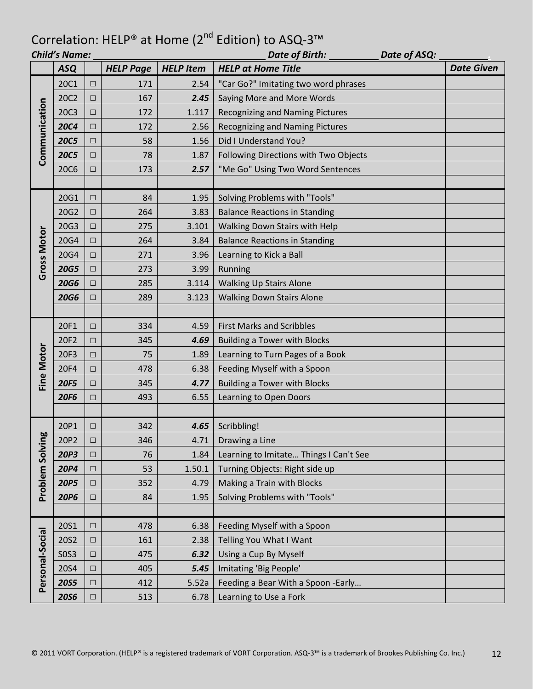|                   | <b>Child's Name:</b> |        |                  |                  | <b>Date of Birth:</b><br>Date of ASQ:  |  |                   |
|-------------------|----------------------|--------|------------------|------------------|----------------------------------------|--|-------------------|
|                   | <b>ASQ</b>           |        | <b>HELP Page</b> | <b>HELP Item</b> | <b>HELP at Home Title</b>              |  | <b>Date Given</b> |
|                   | <b>20C1</b>          | $\Box$ | 171              | 2.54             | "Car Go?" Imitating two word phrases   |  |                   |
|                   | 20C2                 | $\Box$ | 167              | 2.45             | Saying More and More Words             |  |                   |
| Communication     | <b>20C3</b>          | $\Box$ | 172              | 1.117            | <b>Recognizing and Naming Pictures</b> |  |                   |
|                   | <b>20C4</b>          | $\Box$ | 172              | 2.56             | <b>Recognizing and Naming Pictures</b> |  |                   |
|                   | <b>20C5</b>          | $\Box$ | 58               | 1.56             | Did I Understand You?                  |  |                   |
|                   | <b>20C5</b>          | $\Box$ | 78               | 1.87             | Following Directions with Two Objects  |  |                   |
|                   | <b>20C6</b>          | □      | 173              | 2.57             | "Me Go" Using Two Word Sentences       |  |                   |
|                   |                      |        |                  |                  |                                        |  |                   |
|                   | 20G1                 | $\Box$ | 84               | 1.95             | Solving Problems with "Tools"          |  |                   |
|                   | 20G2                 | $\Box$ | 264              | 3.83             | <b>Balance Reactions in Standing</b>   |  |                   |
|                   | 20G3                 | $\Box$ | 275              | 3.101            | Walking Down Stairs with Help          |  |                   |
|                   | 20G4                 | $\Box$ | 264              | 3.84             | <b>Balance Reactions in Standing</b>   |  |                   |
| Gross Motor       | 20G4                 | $\Box$ | 271              | 3.96             | Learning to Kick a Ball                |  |                   |
|                   | <b>20G5</b>          | $\Box$ | 273              | 3.99             | Running                                |  |                   |
|                   | <b>20G6</b>          | $\Box$ | 285              | 3.114            | <b>Walking Up Stairs Alone</b>         |  |                   |
|                   | <b>20G6</b>          | $\Box$ | 289              | 3.123            | <b>Walking Down Stairs Alone</b>       |  |                   |
|                   |                      |        |                  |                  |                                        |  |                   |
|                   | 20F1                 | $\Box$ | 334              | 4.59             | <b>First Marks and Scribbles</b>       |  |                   |
|                   | 20F2                 | $\Box$ | 345              | 4.69             | <b>Building a Tower with Blocks</b>    |  |                   |
| <b>Fine Motor</b> | 20F3                 | $\Box$ | 75               | 1.89             | Learning to Turn Pages of a Book       |  |                   |
|                   | 20F4                 | $\Box$ | 478              | 6.38             | Feeding Myself with a Spoon            |  |                   |
|                   | <b>20F5</b>          | $\Box$ | 345              | 4.77             | <b>Building a Tower with Blocks</b>    |  |                   |
|                   | <b>20F6</b>          | $\Box$ | 493              | 6.55             | Learning to Open Doors                 |  |                   |
|                   |                      |        |                  |                  |                                        |  |                   |
|                   | 20P1                 | $\Box$ | 342              | 4.65             | Scribbling!                            |  |                   |
| ğρ                | 20P2                 | $\Box$ | 346              | 4.71             | Drawing a Line                         |  |                   |
| Problem Solvir    | <b>20P3</b>          | $\Box$ | 76               | 1.84             | Learning to Imitate Things I Can't See |  |                   |
|                   | <b>20P4</b>          | $\Box$ | 53               | 1.50.1           | Turning Objects: Right side up         |  |                   |
|                   | <b>20P5</b>          | $\Box$ | 352              | 4.79             | Making a Train with Blocks             |  |                   |
|                   | <b>20P6</b>          | $\Box$ | 84               | 1.95             | Solving Problems with "Tools"          |  |                   |
|                   |                      |        |                  |                  |                                        |  |                   |
|                   | <b>20S1</b>          | $\Box$ | 478              | 6.38             | Feeding Myself with a Spoon            |  |                   |
|                   | 20S2                 | $\Box$ | 161              | 2.38             | Telling You What I Want                |  |                   |
|                   | <b>SOS3</b>          | $\Box$ | 475              | 6.32             | Using a Cup By Myself                  |  |                   |
|                   | 20S4                 | $\Box$ | 405              | 5.45             | Imitating 'Big People'                 |  |                   |
| Personal-Social   | <b>20S5</b>          | $\Box$ | 412              | 5.52a            | Feeding a Bear With a Spoon -Early     |  |                   |
|                   | <b>20S6</b>          | $\Box$ | 513              | 6.78             | Learning to Use a Fork                 |  |                   |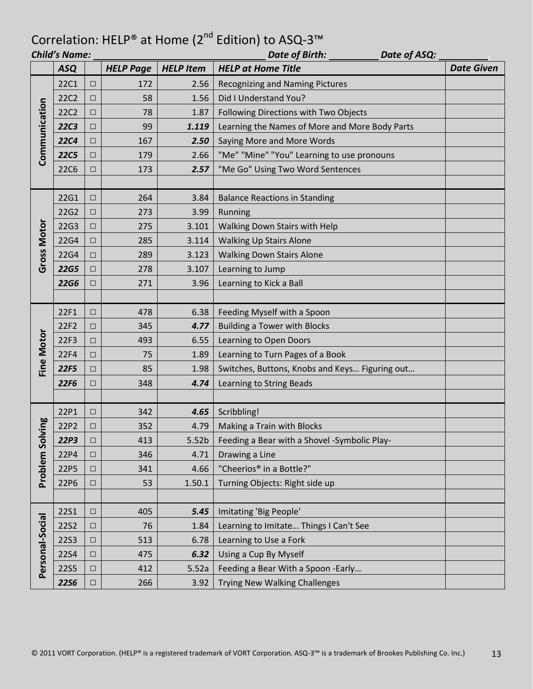|                    | <b>Child's Name:</b> |        |                  |                   | Date of Birth:<br>Date of ASQ:                 |                   |
|--------------------|----------------------|--------|------------------|-------------------|------------------------------------------------|-------------------|
|                    | <b>ASQ</b>           |        | <b>HELP Page</b> | <b>HELP Item</b>  | <b>HELP at Home Title</b>                      | <b>Date Given</b> |
|                    | <b>22C1</b>          | $\Box$ | 172              | 2.56              | Recognizing and Naming Pictures                |                   |
|                    | <b>22C2</b>          | □      | 58               | 1.56              | Did I Understand You?                          |                   |
|                    | <b>22C2</b>          | $\Box$ | 78               | 1.87              | Following Directions with Two Objects          |                   |
|                    | <b>22C3</b>          | $\Box$ | 99               | 1.119             | Learning the Names of More and More Body Parts |                   |
|                    | <b>22C4</b>          | $\Box$ | 167              | 2.50              | Saying More and More Words                     |                   |
| Communication      | <b>22C5</b>          | $\Box$ | 179              | 2.66              | "Me" "Mine" "You" Learning to use pronouns     |                   |
|                    | <b>22C6</b>          | $\Box$ | 173              | 2.57              | "Me Go" Using Two Word Sentences               |                   |
|                    |                      |        |                  |                   |                                                |                   |
|                    | 22G1                 | $\Box$ | 264              | 3.84              | <b>Balance Reactions in Standing</b>           |                   |
|                    | 22G2                 | $\Box$ | 273              | 3.99              | Running                                        |                   |
|                    | 22G3                 | $\Box$ | 275              | 3.101             | Walking Down Stairs with Help                  |                   |
|                    | 22G4                 | $\Box$ | 285              | 3.114             | <b>Walking Up Stairs Alone</b>                 |                   |
| <b>Gross Motor</b> | 22G4                 | □      | 289              | 3.123             | <b>Walking Down Stairs Alone</b>               |                   |
|                    | <b>22G5</b>          | $\Box$ | 278              | 3.107             | Learning to Jump                               |                   |
|                    | <b>22G6</b>          | $\Box$ | 271              | 3.96              | Learning to Kick a Ball                        |                   |
|                    |                      |        |                  |                   |                                                |                   |
|                    | 22F1                 | $\Box$ | 478              | 6.38              | Feeding Myself with a Spoon                    |                   |
|                    | 22F2                 | $\Box$ | 345              | 4.77              | <b>Building a Tower with Blocks</b>            |                   |
| <b>Fine Motor</b>  | 22F3                 | $\Box$ | 493              | 6.55              | Learning to Open Doors                         |                   |
|                    | 22F4                 | $\Box$ | 75               | 1.89              | Learning to Turn Pages of a Book               |                   |
|                    | 22F5                 | $\Box$ | 85               | 1.98              | Switches, Buttons, Knobs and Keys Figuring out |                   |
|                    | 22F6                 | $\Box$ | 348              | 4.74              | Learning to String Beads                       |                   |
|                    |                      |        |                  |                   |                                                |                   |
|                    | 22P1                 | $\Box$ | 342              | 4.65              | Scribbling!                                    |                   |
|                    | 22P2                 | $\Box$ | 352              | 4.79              | Making a Train with Blocks                     |                   |
| Problem Solving    | <b>22P3</b>          | $\Box$ | 413              | 5.52 <sub>b</sub> | Feeding a Bear with a Shovel -Symbolic Play-   |                   |
|                    | 22P4                 | $\Box$ | 346              | 4.71              | Drawing a Line                                 |                   |
|                    | 22P5                 | $\Box$ | 341              | 4.66              | "Cheerios <sup>®</sup> in a Bottle?"           |                   |
|                    | 22P6                 | $\Box$ | 53               | 1.50.1            | Turning Objects: Right side up                 |                   |
|                    |                      |        |                  |                   |                                                |                   |
|                    | <b>22S1</b>          | $\Box$ | 405              | 5.45              | Imitating 'Big People'                         |                   |
|                    | <b>22S2</b>          | $\Box$ | 76               | 1.84              | Learning to Imitate Things I Can't See         |                   |
|                    | <b>22S3</b>          | $\Box$ | 513              | 6.78              | Learning to Use a Fork                         |                   |
|                    | <b>22S4</b>          | $\Box$ | 475              | 6.32              | Using a Cup By Myself                          |                   |
| Personal-Social    | <b>22S5</b>          | $\Box$ | 412              | 5.52a             | Feeding a Bear With a Spoon -Early             |                   |
|                    | <b>2256</b>          | $\Box$ | 266              | 3.92              | <b>Trying New Walking Challenges</b>           |                   |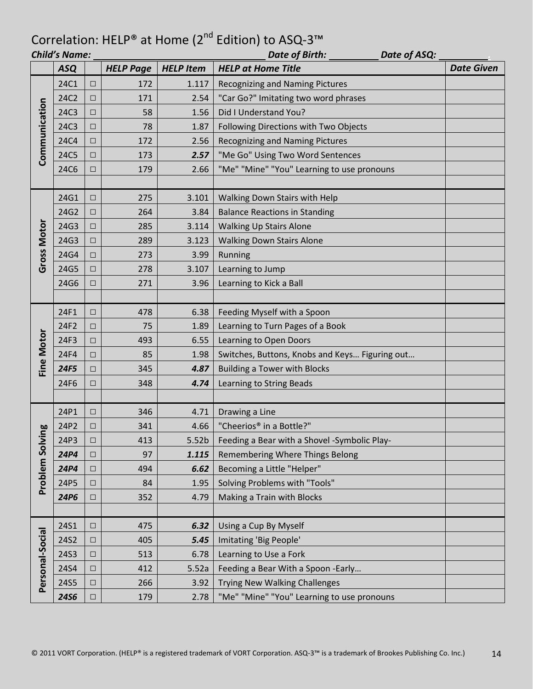|                    |             | <b>Child's Name:</b> |                  |                   | Date of Birth: _____<br>Date of ASQ:           |                   |
|--------------------|-------------|----------------------|------------------|-------------------|------------------------------------------------|-------------------|
|                    | <b>ASQ</b>  |                      | <b>HELP Page</b> | <b>HELP Item</b>  | <b>HELP at Home Title</b>                      | <b>Date Given</b> |
|                    | 24C1        | $\Box$               | 172              | 1.117             | <b>Recognizing and Naming Pictures</b>         |                   |
|                    | 24C2        | □                    | 171              | 2.54              | "Car Go?" Imitating two word phrases           |                   |
| Communication      | 24C3        | $\Box$               | 58               | 1.56              | Did I Understand You?                          |                   |
|                    | 24C3        | $\Box$               | 78               | 1.87              | Following Directions with Two Objects          |                   |
|                    | <b>24C4</b> | $\Box$               | 172              | 2.56              | <b>Recognizing and Naming Pictures</b>         |                   |
|                    | 24C5        | $\Box$               | 173              | 2.57              | "Me Go" Using Two Word Sentences               |                   |
|                    | <b>24C6</b> | $\Box$               | 179              | 2.66              | "Me" "Mine" "You" Learning to use pronouns     |                   |
|                    |             |                      |                  |                   |                                                |                   |
|                    | 24G1        | $\Box$               | 275              | 3.101             | Walking Down Stairs with Help                  |                   |
|                    | 24G2        | $\Box$               | 264              | 3.84              | <b>Balance Reactions in Standing</b>           |                   |
|                    | 24G3        | $\Box$               | 285              | 3.114             | <b>Walking Up Stairs Alone</b>                 |                   |
| <b>Gross Motor</b> | 24G3        | $\Box$               | 289              | 3.123             | <b>Walking Down Stairs Alone</b>               |                   |
|                    | 24G4        | $\Box$               | 273              | 3.99              | Running                                        |                   |
|                    | 24G5        | $\Box$               | 278              | 3.107             | Learning to Jump                               |                   |
|                    | 24G6        | □                    | 271              | 3.96              | Learning to Kick a Ball                        |                   |
|                    |             |                      |                  |                   |                                                |                   |
|                    | 24F1        | $\Box$               | 478              | 6.38              | Feeding Myself with a Spoon                    |                   |
|                    | 24F2        | $\Box$               | 75               | 1.89              | Learning to Turn Pages of a Book               |                   |
|                    | 24F3        | $\Box$               | 493              | 6.55              | Learning to Open Doors                         |                   |
| Fine Motor         | <b>24F4</b> | $\Box$               | 85               | 1.98              | Switches, Buttons, Knobs and Keys Figuring out |                   |
|                    | 24F5        | $\Box$               | 345              | 4.87              | <b>Building a Tower with Blocks</b>            |                   |
|                    | 24F6        | □                    | 348              | 4.74              | Learning to String Beads                       |                   |
|                    |             |                      |                  |                   |                                                |                   |
|                    | 24P1        | $\Box$               | 346              | 4.71              | Drawing a Line                                 |                   |
| ving               | 24P2        | $\Box$               | 341              | 4.66              | "Cheerios® in a Bottle?"                       |                   |
|                    | 24P3        | $\Box$               | 413              | 5.52 <sub>b</sub> | Feeding a Bear with a Shovel -Symbolic Play-   |                   |
| Problem Solv       | <b>24P4</b> | $\Box$               | 97               | 1.115             | Remembering Where Things Belong                |                   |
|                    | <b>24P4</b> | $\Box$               | 494              | 6.62              | Becoming a Little "Helper"                     |                   |
|                    | 24P5        | $\Box$               | 84               | 1.95              | Solving Problems with "Tools"                  |                   |
|                    | 24P6        | $\Box$               | 352              | 4.79              | Making a Train with Blocks                     |                   |
|                    |             |                      |                  |                   |                                                |                   |
|                    | 24S1        | $\Box$               | 475              | 6.32              | Using a Cup By Myself                          |                   |
|                    | 24S2        | $\Box$               | 405              | 5.45              | Imitating 'Big People'                         |                   |
|                    | 24S3        | $\Box$               | 513              | 6.78              | Learning to Use a Fork                         |                   |
| Personal-Social    | 24S4        | $\Box$               | 412              | 5.52a             | Feeding a Bear With a Spoon -Early             |                   |
|                    |             | $\Box$               | 266              | 3.92              | <b>Trying New Walking Challenges</b>           |                   |
| 24S5               |             |                      |                  |                   |                                                |                   |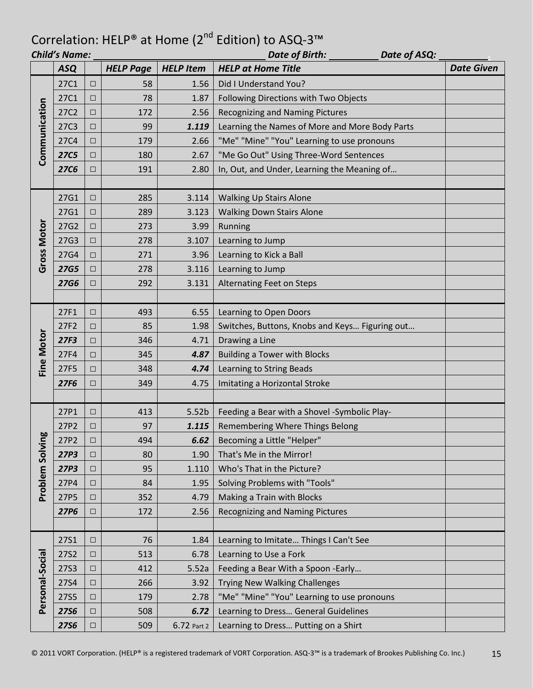| Date of ASQ:<br><b>Child's Name:</b><br>Date of Birth: |             |        |                  |                  |                                                |                   |
|--------------------------------------------------------|-------------|--------|------------------|------------------|------------------------------------------------|-------------------|
|                                                        | <b>ASQ</b>  |        | <b>HELP Page</b> | <b>HELP Item</b> | <b>HELP at Home Title</b>                      | <b>Date Given</b> |
| Communication                                          | 27C1        | $\Box$ | 58               | 1.56             | Did I Understand You?                          |                   |
|                                                        | 27C1        | □      | 78               | 1.87             | Following Directions with Two Objects          |                   |
|                                                        | 27C2        | $\Box$ | 172              | 2.56             | <b>Recognizing and Naming Pictures</b>         |                   |
|                                                        | 27C3        | $\Box$ | 99               | 1.119            | Learning the Names of More and More Body Parts |                   |
|                                                        | 27C4        | $\Box$ | 179              | 2.66             | "Me" "Mine" "You" Learning to use pronouns     |                   |
|                                                        | <b>27C5</b> | $\Box$ | 180              | 2.67             | "Me Go Out" Using Three-Word Sentences         |                   |
|                                                        | <b>27C6</b> | $\Box$ | 191              | 2.80             | In, Out, and Under, Learning the Meaning of    |                   |
|                                                        |             |        |                  |                  |                                                |                   |
|                                                        | 27G1        | $\Box$ | 285              | 3.114            | <b>Walking Up Stairs Alone</b>                 |                   |
|                                                        | 27G1        | $\Box$ | 289              | 3.123            | <b>Walking Down Stairs Alone</b>               |                   |
|                                                        | 27G2        | $\Box$ | 273              | 3.99             | Running                                        |                   |
| <b>Gross Motor</b>                                     | 27G3        | $\Box$ | 278              | 3.107            | Learning to Jump                               |                   |
|                                                        | 27G4        | □      | 271              | 3.96             | Learning to Kick a Ball                        |                   |
|                                                        | <b>27G5</b> | $\Box$ | 278              | 3.116            | Learning to Jump                               |                   |
|                                                        | <b>27G6</b> | $\Box$ | 292              | 3.131            | <b>Alternating Feet on Steps</b>               |                   |
|                                                        |             |        |                  |                  |                                                |                   |
|                                                        | 27F1        | $\Box$ | 493              | 6.55             | Learning to Open Doors                         |                   |
|                                                        | 27F2        | $\Box$ | 85               | 1.98             | Switches, Buttons, Knobs and Keys Figuring out |                   |
|                                                        | 27F3        | $\Box$ | 346              | 4.71             | Drawing a Line                                 |                   |
|                                                        | 27F4        | $\Box$ | 345              | 4.87             | <b>Building a Tower with Blocks</b>            |                   |
| <b>Fine Motor</b>                                      | 27F5        | $\Box$ | 348              | 4.74             | Learning to String Beads                       |                   |
|                                                        | 27F6        | $\Box$ | 349              | 4.75             | Imitating a Horizontal Stroke                  |                   |
|                                                        |             |        |                  |                  |                                                |                   |
|                                                        | 27P1        | $\Box$ | 413              | 5.52b            | Feeding a Bear with a Shovel -Symbolic Play-   |                   |
|                                                        | 27P2        | □      | 97               | 1.115            | Remembering Where Things Belong                |                   |
| ă                                                      | 27P2        | $\Box$ | 494              | 6.62             | Becoming a Little "Helper"                     |                   |
|                                                        | 27P3        | $\Box$ | 80               | 1.90             | That's Me in the Mirror!                       |                   |
|                                                        | 27P3        | $\Box$ | 95               | 1.110            | Who's That in the Picture?                     |                   |
| Problem Solvir                                         | 27P4        | $\Box$ | 84               | 1.95             | Solving Problems with "Tools"                  |                   |
|                                                        | 27P5        | $\Box$ | 352              | 4.79             | Making a Train with Blocks                     |                   |
|                                                        | 27P6        | $\Box$ | 172              | 2.56             | <b>Recognizing and Naming Pictures</b>         |                   |
|                                                        |             |        |                  |                  |                                                |                   |
|                                                        | 27S1        | $\Box$ | 76               | 1.84             | Learning to Imitate Things I Can't See         |                   |
| Personal-Social                                        | <b>27S2</b> | $\Box$ | 513              | 6.78             | Learning to Use a Fork                         |                   |
|                                                        | <b>27S3</b> | $\Box$ | 412              | 5.52a            | Feeding a Bear With a Spoon -Early             |                   |
|                                                        | 27S4        | $\Box$ | 266              | 3.92             | <b>Trying New Walking Challenges</b>           |                   |
|                                                        | <b>27S5</b> | $\Box$ | 179              | 2.78             | "Me" "Mine" "You" Learning to use pronouns     |                   |
|                                                        | <b>2756</b> | $\Box$ | 508              | 6.72             | Learning to Dress General Guidelines           |                   |
|                                                        | <b>2756</b> | $\Box$ | 509              | 6.72 Part 2      | Learning to Dress Putting on a Shirt           |                   |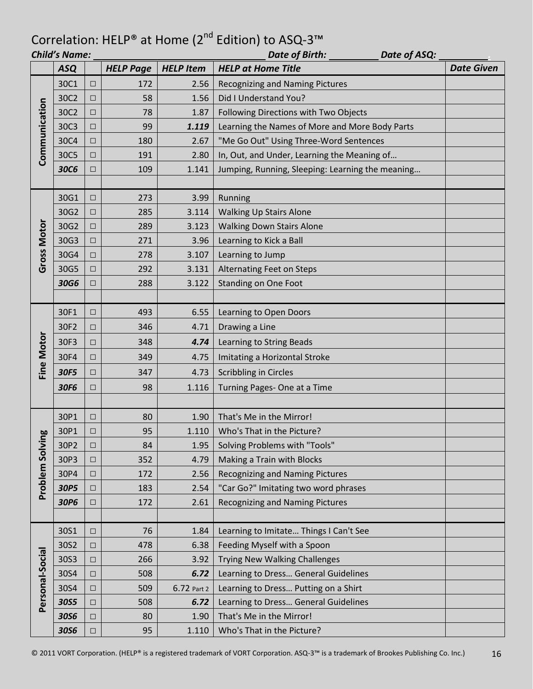|                    | Date of ASQ:<br><b>Child's Name:</b><br>Date of Birth: |        |                  |                  |                                                  |                   |  |
|--------------------|--------------------------------------------------------|--------|------------------|------------------|--------------------------------------------------|-------------------|--|
|                    | <b>ASQ</b>                                             |        | <b>HELP Page</b> | <b>HELP Item</b> | <b>HELP at Home Title</b>                        | <b>Date Given</b> |  |
| Communication      | 30C1                                                   | □      | 172              | 2.56             | Recognizing and Naming Pictures                  |                   |  |
|                    | 30C2                                                   | $\Box$ | 58               | 1.56             | Did I Understand You?                            |                   |  |
|                    | 30C2                                                   | □      | 78               | 1.87             | Following Directions with Two Objects            |                   |  |
|                    | 30C3                                                   | $\Box$ | 99               | 1.119            | Learning the Names of More and More Body Parts   |                   |  |
|                    | 30C4                                                   | $\Box$ | 180              | 2.67             | "Me Go Out" Using Three-Word Sentences           |                   |  |
|                    | 30C5                                                   | $\Box$ | 191              | 2.80             | In, Out, and Under, Learning the Meaning of      |                   |  |
|                    | <b>30C6</b>                                            | □      | 109              | 1.141            | Jumping, Running, Sleeping: Learning the meaning |                   |  |
|                    |                                                        |        |                  |                  |                                                  |                   |  |
|                    | 30G1                                                   | □      | 273              | 3.99             | Running                                          |                   |  |
|                    | 30G2                                                   | $\Box$ | 285              | 3.114            | <b>Walking Up Stairs Alone</b>                   |                   |  |
| <b>Gross Motor</b> | 30G2                                                   | $\Box$ | 289              | 3.123            | <b>Walking Down Stairs Alone</b>                 |                   |  |
|                    | 30G3                                                   | □      | 271              | 3.96             | Learning to Kick a Ball                          |                   |  |
|                    | 30G4                                                   | □      | 278              | 3.107            | Learning to Jump                                 |                   |  |
|                    | 30G5                                                   | □      | 292              | 3.131            | <b>Alternating Feet on Steps</b>                 |                   |  |
|                    | 30G6                                                   | $\Box$ | 288              | 3.122            | <b>Standing on One Foot</b>                      |                   |  |
|                    |                                                        |        |                  |                  |                                                  |                   |  |
|                    | 30F1                                                   | $\Box$ | 493              | 6.55             | Learning to Open Doors                           |                   |  |
|                    | 30F2                                                   | $\Box$ | 346              | 4.71             | Drawing a Line                                   |                   |  |
|                    | 30F3                                                   | $\Box$ | 348              | 4.74             | <b>Learning to String Beads</b>                  |                   |  |
|                    | 30F4                                                   | $\Box$ | 349              | 4.75             | Imitating a Horizontal Stroke                    |                   |  |
| Fine Motor         | 30F5                                                   | $\Box$ | 347              | 4.73             | <b>Scribbling in Circles</b>                     |                   |  |
|                    | 30F6                                                   | $\Box$ | 98               | 1.116            | Turning Pages- One at a Time                     |                   |  |
|                    |                                                        |        |                  |                  |                                                  |                   |  |
|                    | 30P1                                                   | □      | 80               | 1.90             | That's Me in the Mirror!                         |                   |  |
| ng                 | 30P1                                                   | ⊔      | 95               | 1.110            | Who's That in the Picture?                       |                   |  |
|                    | 30P2                                                   | $\Box$ | 84               | 1.95             | Solving Problems with "Tools"                    |                   |  |
|                    | 30P3                                                   | □      | 352              | 4.79             | Making a Train with Blocks                       |                   |  |
| Problem Solvi      | 30P4                                                   | □      | 172              | 2.56             | <b>Recognizing and Naming Pictures</b>           |                   |  |
|                    | 30P5                                                   | $\Box$ | 183              | 2.54             | "Car Go?" Imitating two word phrases             |                   |  |
|                    | 30P6                                                   | $\Box$ | 172              | 2.61             | <b>Recognizing and Naming Pictures</b>           |                   |  |
|                    |                                                        |        |                  |                  |                                                  |                   |  |
|                    | 30S1                                                   | $\Box$ | 76               | 1.84             | Learning to Imitate Things I Can't See           |                   |  |
| Personal-Social    | 30S2                                                   | $\Box$ | 478              | 6.38             | Feeding Myself with a Spoon                      |                   |  |
|                    | 30S3                                                   | $\Box$ | 266              | 3.92             | Trying New Walking Challenges                    |                   |  |
|                    | 30S4                                                   | $\Box$ | 508              | 6.72             | Learning to Dress General Guidelines             |                   |  |
|                    | 30S4                                                   | $\Box$ | 509              | 6.72 Part 2      | Learning to Dress Putting on a Shirt             |                   |  |
|                    | 30S5                                                   | $\Box$ | 508              | 6.72             | Learning to Dress General Guidelines             |                   |  |
|                    | 30S6                                                   | $\Box$ | 80               | 1.90             | That's Me in the Mirror!                         |                   |  |
|                    | 30S6                                                   | $\Box$ | 95               | 1.110            | Who's That in the Picture?                       |                   |  |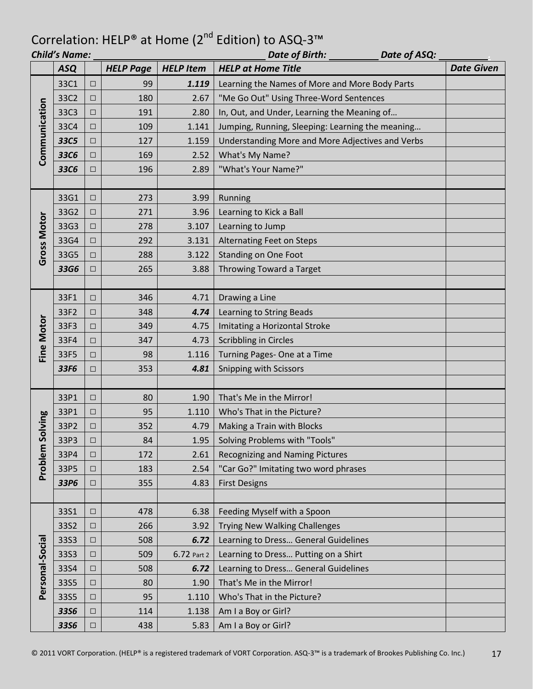|                    | <b>Child's Name:</b><br><b>Date of Birth:</b><br>Date of ASQ: |        |                  |                  |                                                  |                   |  |
|--------------------|---------------------------------------------------------------|--------|------------------|------------------|--------------------------------------------------|-------------------|--|
|                    | <b>ASQ</b>                                                    |        | <b>HELP Page</b> | <b>HELP Item</b> | <b>HELP at Home Title</b>                        | <b>Date Given</b> |  |
| Communication      | 33C1                                                          | $\Box$ | 99               | 1.119            | Learning the Names of More and More Body Parts   |                   |  |
|                    | 33C2                                                          | $\Box$ | 180              | 2.67             | "Me Go Out" Using Three-Word Sentences           |                   |  |
|                    | 33C3                                                          | $\Box$ | 191              | 2.80             | In, Out, and Under, Learning the Meaning of      |                   |  |
|                    | 33C4                                                          | $\Box$ | 109              | 1.141            | Jumping, Running, Sleeping: Learning the meaning |                   |  |
|                    | 33C5                                                          | $\Box$ | 127              | 1.159            | Understanding More and More Adjectives and Verbs |                   |  |
|                    | 33C6                                                          | $\Box$ | 169              | 2.52             | What's My Name?                                  |                   |  |
|                    | 33C6                                                          | □      | 196              | 2.89             | "What's Your Name?"                              |                   |  |
|                    |                                                               |        |                  |                  |                                                  |                   |  |
|                    | 33G1                                                          | $\Box$ | 273              | 3.99             | Running                                          |                   |  |
|                    | 33G2                                                          | $\Box$ | 271              | 3.96             | Learning to Kick a Ball                          |                   |  |
|                    | 33G3                                                          | $\Box$ | 278              | 3.107            | Learning to Jump                                 |                   |  |
|                    | 33G4                                                          | $\Box$ | 292              | 3.131            | <b>Alternating Feet on Steps</b>                 |                   |  |
| <b>Gross Motor</b> | 33G5                                                          | $\Box$ | 288              | 3.122            | <b>Standing on One Foot</b>                      |                   |  |
|                    | 33G6                                                          | $\Box$ | 265              | 3.88             | Throwing Toward a Target                         |                   |  |
|                    |                                                               |        |                  |                  |                                                  |                   |  |
|                    | 33F1                                                          | $\Box$ | 346              | 4.71             | Drawing a Line                                   |                   |  |
|                    | 33F2                                                          | $\Box$ | 348              | 4.74             | Learning to String Beads                         |                   |  |
| <b>Fine Motor</b>  | 33F3                                                          | □      | 349              | 4.75             | Imitating a Horizontal Stroke                    |                   |  |
|                    | 33F4                                                          | $\Box$ | 347              | 4.73             | <b>Scribbling in Circles</b>                     |                   |  |
|                    | 33F5                                                          | $\Box$ | 98               | 1.116            | Turning Pages- One at a Time                     |                   |  |
|                    | 33F6                                                          | □      | 353              | 4.81             | Snipping with Scissors                           |                   |  |
|                    |                                                               |        |                  |                  |                                                  |                   |  |
|                    | 33P1                                                          | $\Box$ | 80               | 1.90             | That's Me in the Mirror!                         |                   |  |
|                    | 33P1                                                          | $\Box$ | 95               | 1.110            | Who's That in the Picture?                       |                   |  |
| Solving            | 33P2                                                          | $\Box$ | 352              | 4.79             | Making a Train with Blocks                       |                   |  |
|                    | 33P3                                                          | $\Box$ | 84               | 1.95             | Solving Problems with "Tools"                    |                   |  |
| Problem            | 33P4                                                          | $\Box$ | 172              | 2.61             | <b>Recognizing and Naming Pictures</b>           |                   |  |
|                    | 33P5                                                          | $\Box$ | 183              | 2.54             | "Car Go?" Imitating two word phrases             |                   |  |
|                    | 33P6                                                          | $\Box$ | 355              | 4.83             | <b>First Designs</b>                             |                   |  |
|                    |                                                               |        |                  |                  |                                                  |                   |  |
|                    | 33S1                                                          | $\Box$ | 478              | 6.38             | Feeding Myself with a Spoon                      |                   |  |
|                    | 33S2                                                          | $\Box$ | 266              | 3.92             | <b>Trying New Walking Challenges</b>             |                   |  |
| Personal-Social    | 33S3                                                          | $\Box$ | 508              | 6.72             | Learning to Dress General Guidelines             |                   |  |
|                    | 33S3                                                          | $\Box$ | 509              | 6.72 Part 2      | Learning to Dress Putting on a Shirt             |                   |  |
|                    | 33S4                                                          | $\Box$ | 508              | 6.72             | Learning to Dress General Guidelines             |                   |  |
|                    | 33S5                                                          | $\Box$ | 80               | 1.90             | That's Me in the Mirror!                         |                   |  |
|                    | 33S5                                                          | $\Box$ | 95               | 1.110            | Who's That in the Picture?                       |                   |  |
|                    | <b>3356</b>                                                   | $\Box$ | 114              | 1.138            | Am I a Boy or Girl?                              |                   |  |
|                    | <b>3356</b>                                                   | $\Box$ | 438              | 5.83             | Am I a Boy or Girl?                              |                   |  |